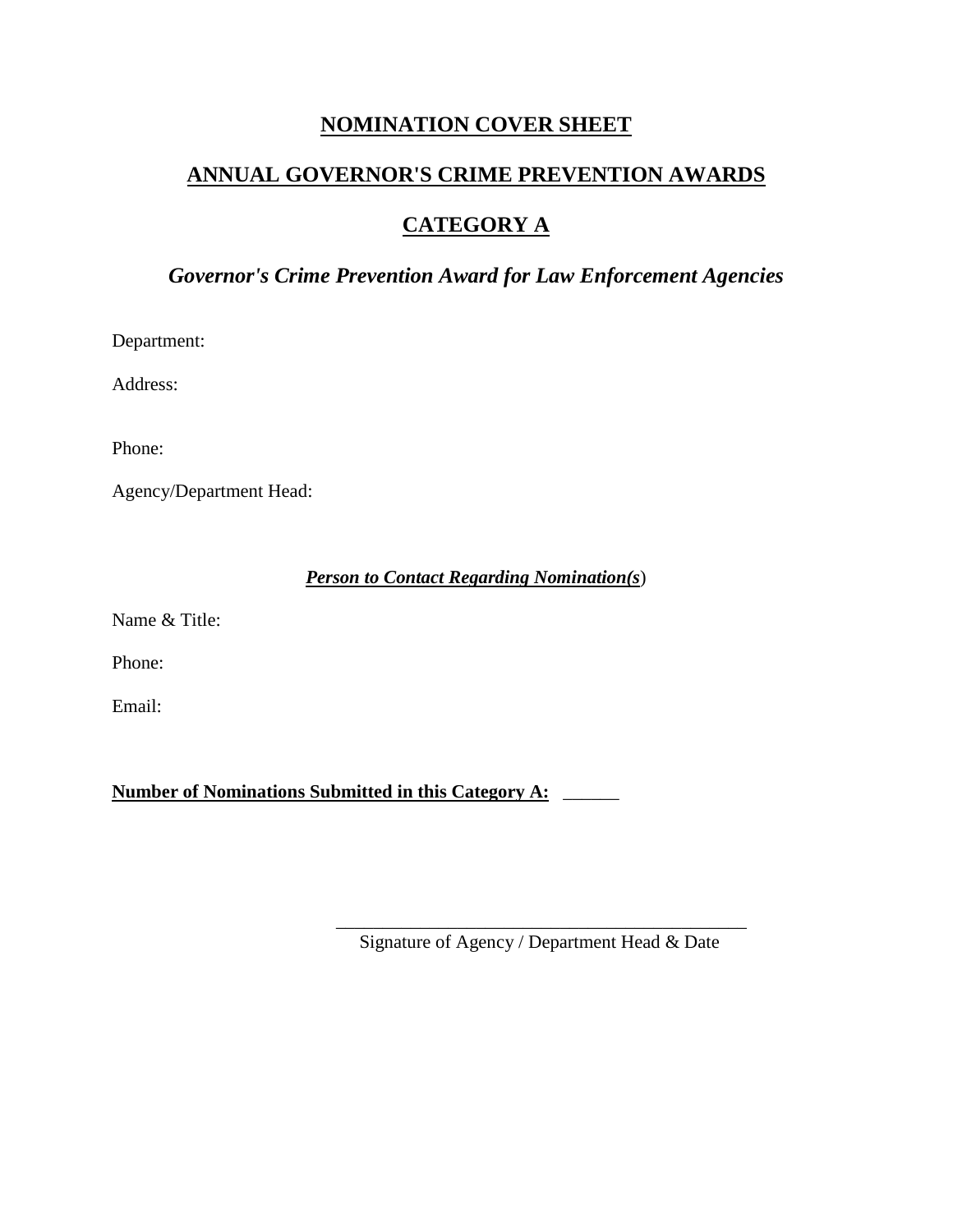## **NOMINATION COVER SHEET**

# **ANNUAL GOVERNOR'S CRIME PREVENTION AWARDS**

## **CATEGORY A**

# *Governor's Crime Prevention Award for Law Enforcement Agencies*

Department:

Address:

Phone:

Agency/Department Head:

## *Person to Contact Regarding Nomination(s*)

Name & Title:

Phone:

Email:

**Number of Nominations Submitted in this Category A:** \_\_\_\_\_\_

\_\_\_\_\_\_\_\_\_\_\_\_\_\_\_\_\_\_\_\_\_\_\_\_\_\_\_\_\_\_\_\_\_\_\_\_\_\_\_\_\_\_\_\_ Signature of Agency / Department Head & Date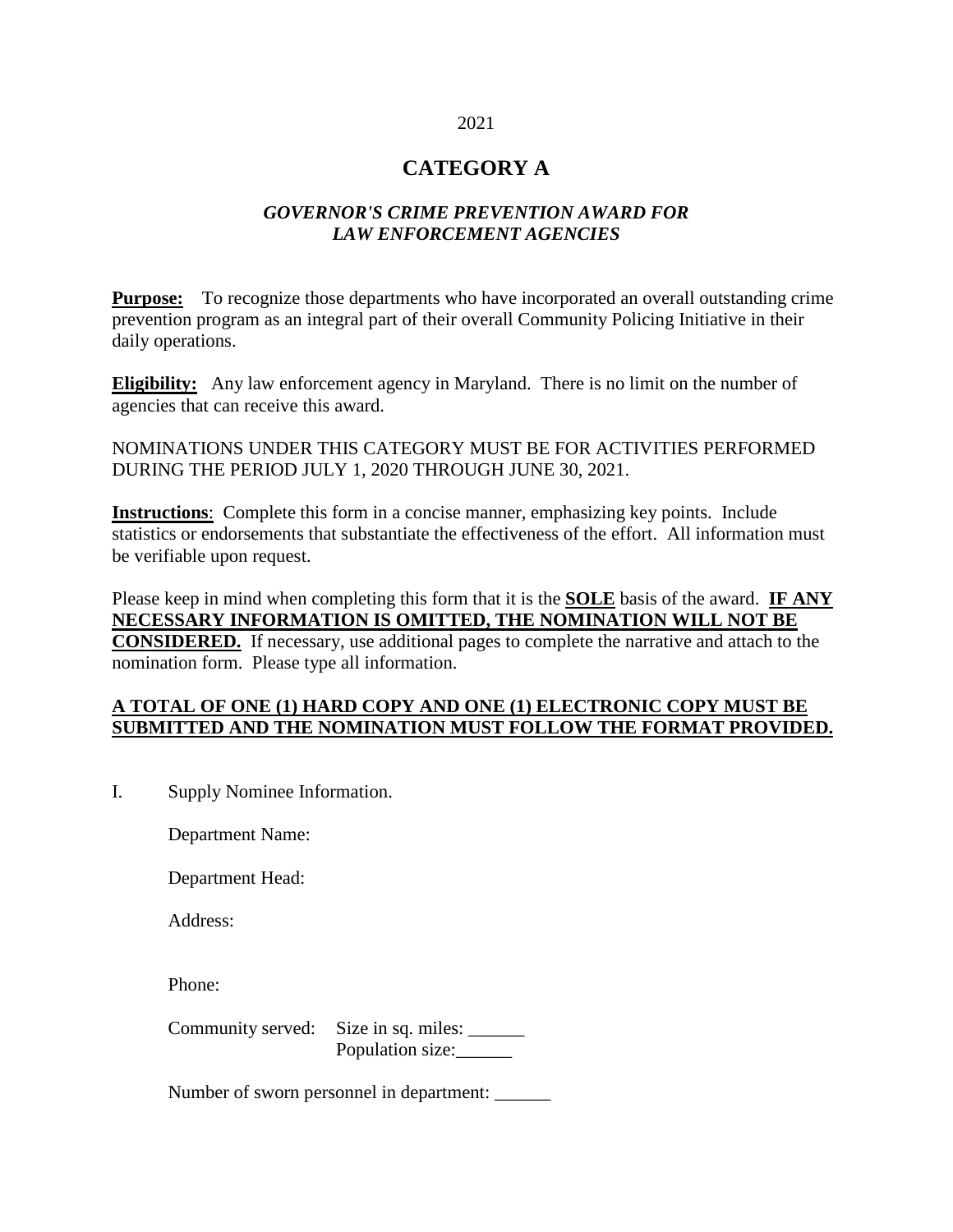#### 2021

## **CATEGORY A**

#### *GOVERNOR'S CRIME PREVENTION AWARD FOR LAW ENFORCEMENT AGENCIES*

**Purpose:** To recognize those departments who have incorporated an overall outstanding crime prevention program as an integral part of their overall Community Policing Initiative in their daily operations.

**Eligibility:** Any law enforcement agency in Maryland. There is no limit on the number of agencies that can receive this award.

NOMINATIONS UNDER THIS CATEGORY MUST BE FOR ACTIVITIES PERFORMED DURING THE PERIOD JULY 1, 2020 THROUGH JUNE 30, 2021.

**Instructions**: Complete this form in a concise manner, emphasizing key points. Include statistics or endorsements that substantiate the effectiveness of the effort. All information must be verifiable upon request.

Please keep in mind when completing this form that it is the **SOLE** basis of the award. **IF ANY NECESSARY INFORMATION IS OMITTED, THE NOMINATION WILL NOT BE CONSIDERED.** If necessary, use additional pages to complete the narrative and attach to the nomination form. Please type all information.

#### **A TOTAL OF ONE (1) HARD COPY AND ONE (1) ELECTRONIC COPY MUST BE SUBMITTED AND THE NOMINATION MUST FOLLOW THE FORMAT PROVIDED.**

I. Supply Nominee Information.

Department Name:

Department Head:

Address:

Phone:

Community served: Size in sq. miles: Population size:

Number of sworn personnel in department: \_\_\_\_\_\_\_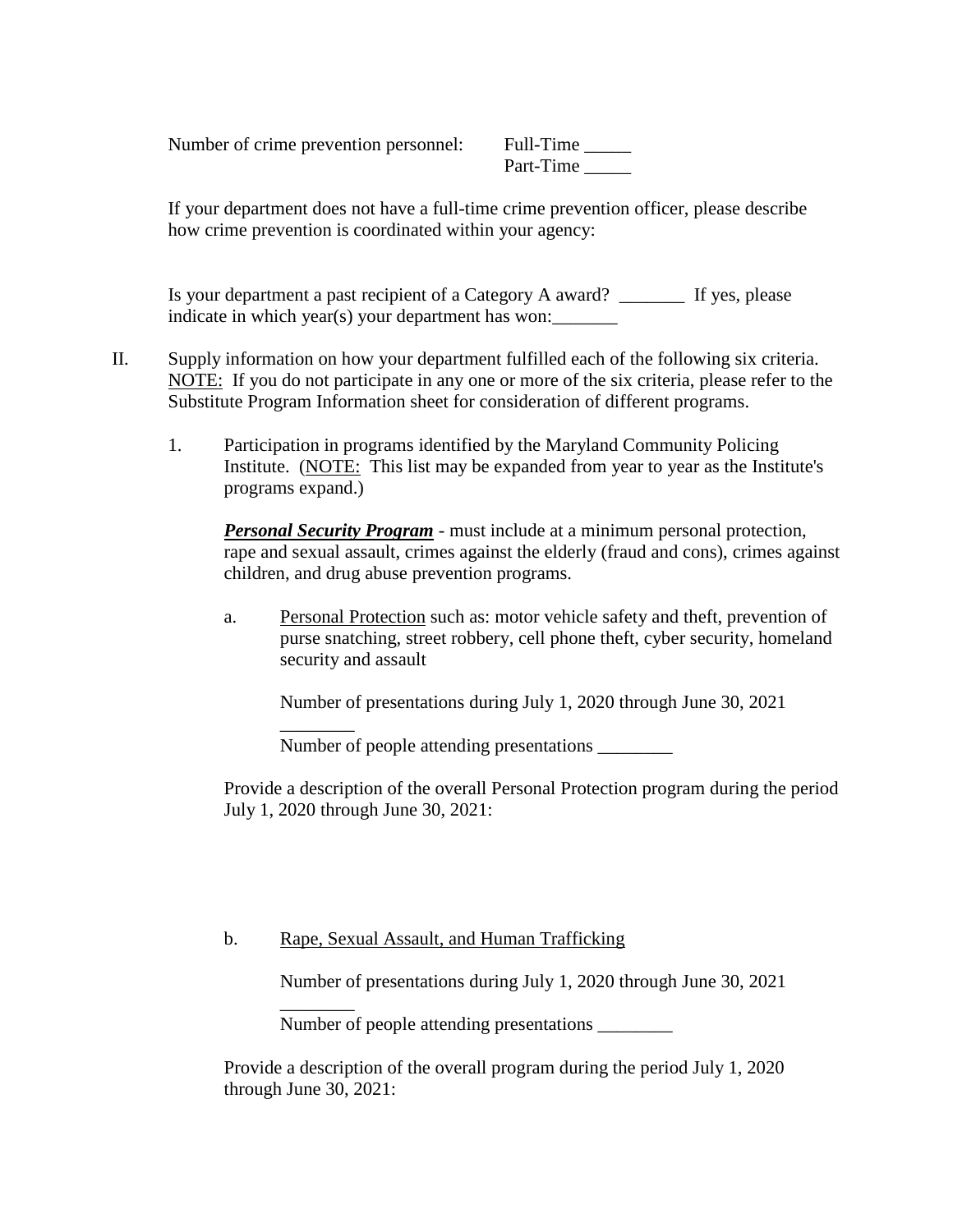Number of crime prevention personnel: Full-Time \_\_\_\_\_

\_\_\_\_\_\_\_\_

Part-Time

If your department does not have a full-time crime prevention officer, please describe how crime prevention is coordinated within your agency:

Is your department a past recipient of a Category A award? \_\_\_\_\_\_\_ If yes, please indicate in which year(s) your department has won:

- II. Supply information on how your department fulfilled each of the following six criteria. NOTE: If you do not participate in any one or more of the six criteria, please refer to the Substitute Program Information sheet for consideration of different programs.
	- 1. Participation in programs identified by the Maryland Community Policing Institute. (NOTE: This list may be expanded from year to year as the Institute's programs expand.)

*Personal Security Program* - must include at a minimum personal protection, rape and sexual assault, crimes against the elderly (fraud and cons), crimes against children, and drug abuse prevention programs.

a. Personal Protection such as: motor vehicle safety and theft, prevention of purse snatching, street robbery, cell phone theft, cyber security, homeland security and assault

Number of presentations during July 1, 2020 through June 30, 2021

Number of people attending presentations

Provide a description of the overall Personal Protection program during the period July 1, 2020 through June 30, 2021:

#### b. Rape, Sexual Assault, and Human Trafficking

Number of presentations during July 1, 2020 through June 30, 2021

\_\_\_\_\_\_\_\_ Number of people attending presentations \_\_\_\_\_\_\_\_

Provide a description of the overall program during the period July 1, 2020 through June 30, 2021: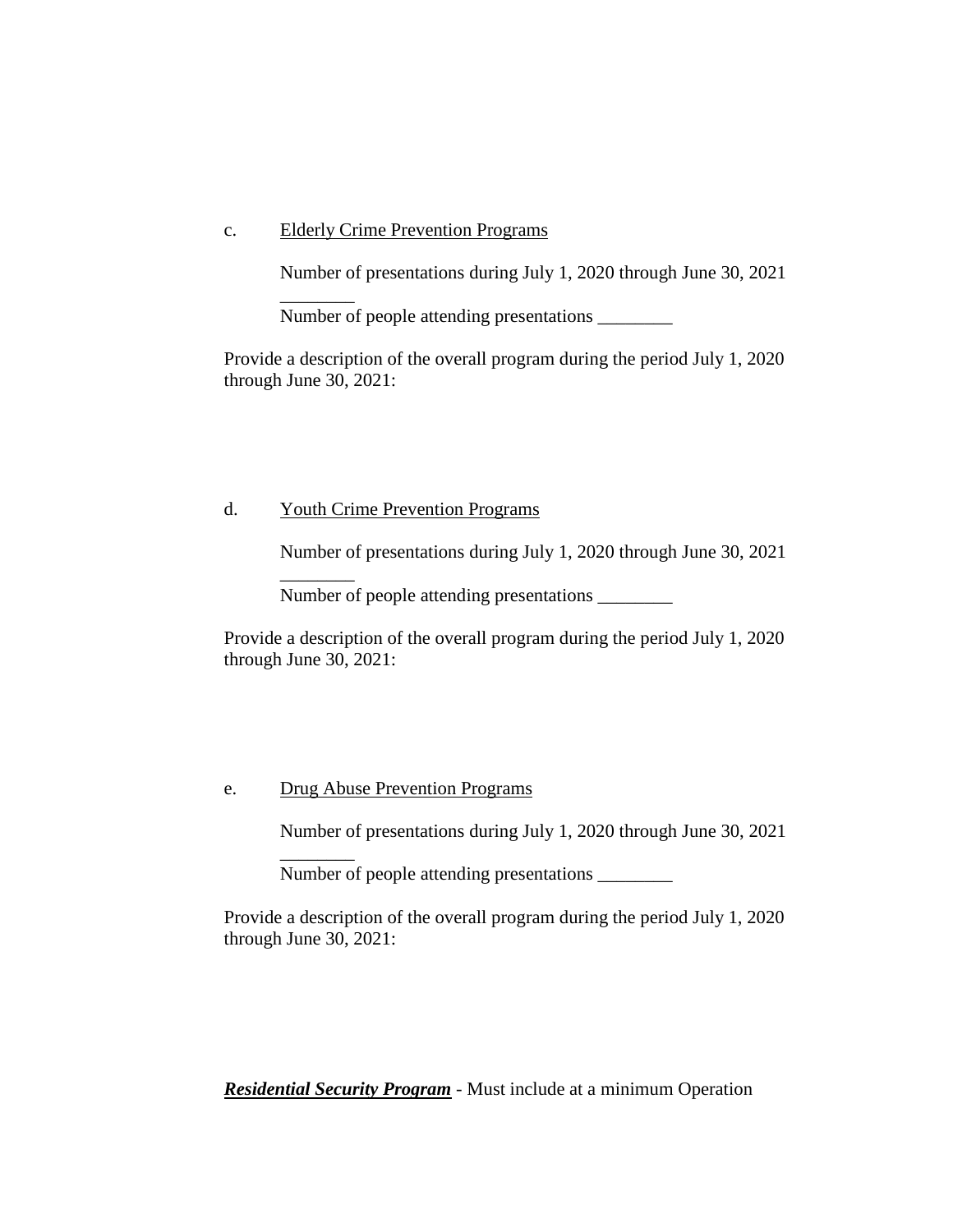#### c. Elderly Crime Prevention Programs

\_\_\_\_\_\_\_\_

\_\_\_\_\_\_\_\_

\_\_\_\_\_\_\_\_

Number of presentations during July 1, 2020 through June 30, 2021

Number of people attending presentations \_\_\_\_\_\_\_\_

Provide a description of the overall program during the period July 1, 2020 through June 30, 2021:

#### d. Youth Crime Prevention Programs

Number of presentations during July 1, 2020 through June 30, 2021

Number of people attending presentations \_\_\_\_\_\_\_\_

Provide a description of the overall program during the period July 1, 2020 through June 30, 2021:

#### e. Drug Abuse Prevention Programs

Number of presentations during July 1, 2020 through June 30, 2021

Number of people attending presentations \_\_\_\_\_\_\_\_\_

Provide a description of the overall program during the period July 1, 2020 through June 30, 2021:

*Residential Security Program* - Must include at a minimum Operation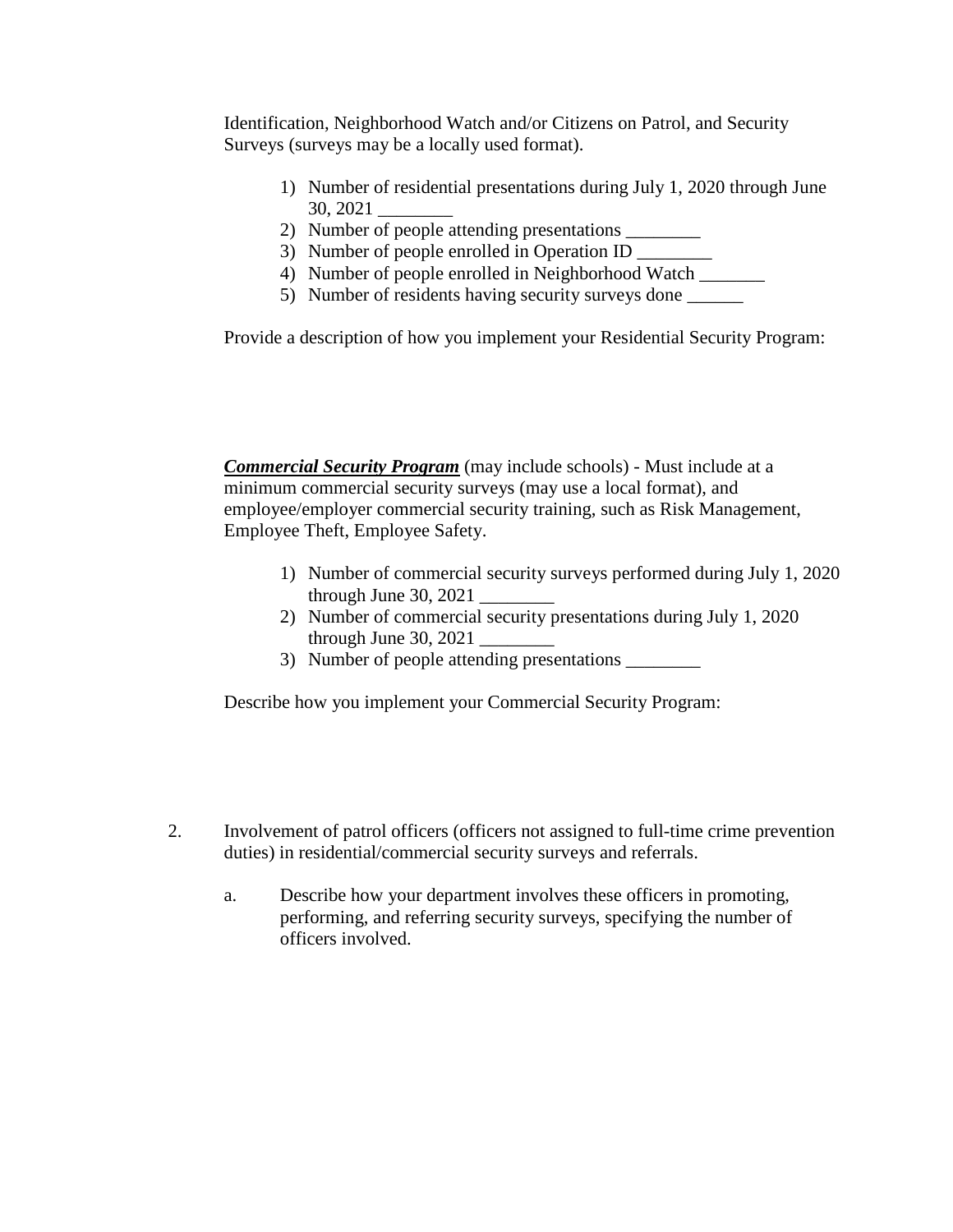Identification, Neighborhood Watch and/or Citizens on Patrol, and Security Surveys (surveys may be a locally used format).

- 1) Number of residential presentations during July 1, 2020 through June 30, 2021 \_\_\_\_\_\_\_\_
- 2) Number of people attending presentations \_\_\_\_\_\_\_\_\_\_
- 3) Number of people enrolled in Operation ID \_\_\_\_\_\_\_\_\_
- 4) Number of people enrolled in Neighborhood Watch \_\_\_\_\_\_\_
- 5) Number of residents having security surveys done \_\_\_\_\_\_

Provide a description of how you implement your Residential Security Program:

*Commercial Security Program* (may include schools) - Must include at a minimum commercial security surveys (may use a local format), and employee/employer commercial security training, such as Risk Management, Employee Theft, Employee Safety.

- 1) Number of commercial security surveys performed during July 1, 2020 through June  $30, 2021$
- 2) Number of commercial security presentations during July 1, 2020 through June 30, 2021 \_\_\_\_\_\_\_\_
- 3) Number of people attending presentations

Describe how you implement your Commercial Security Program:

- 2. Involvement of patrol officers (officers not assigned to full-time crime prevention duties) in residential/commercial security surveys and referrals.
	- a. Describe how your department involves these officers in promoting, performing, and referring security surveys, specifying the number of officers involved.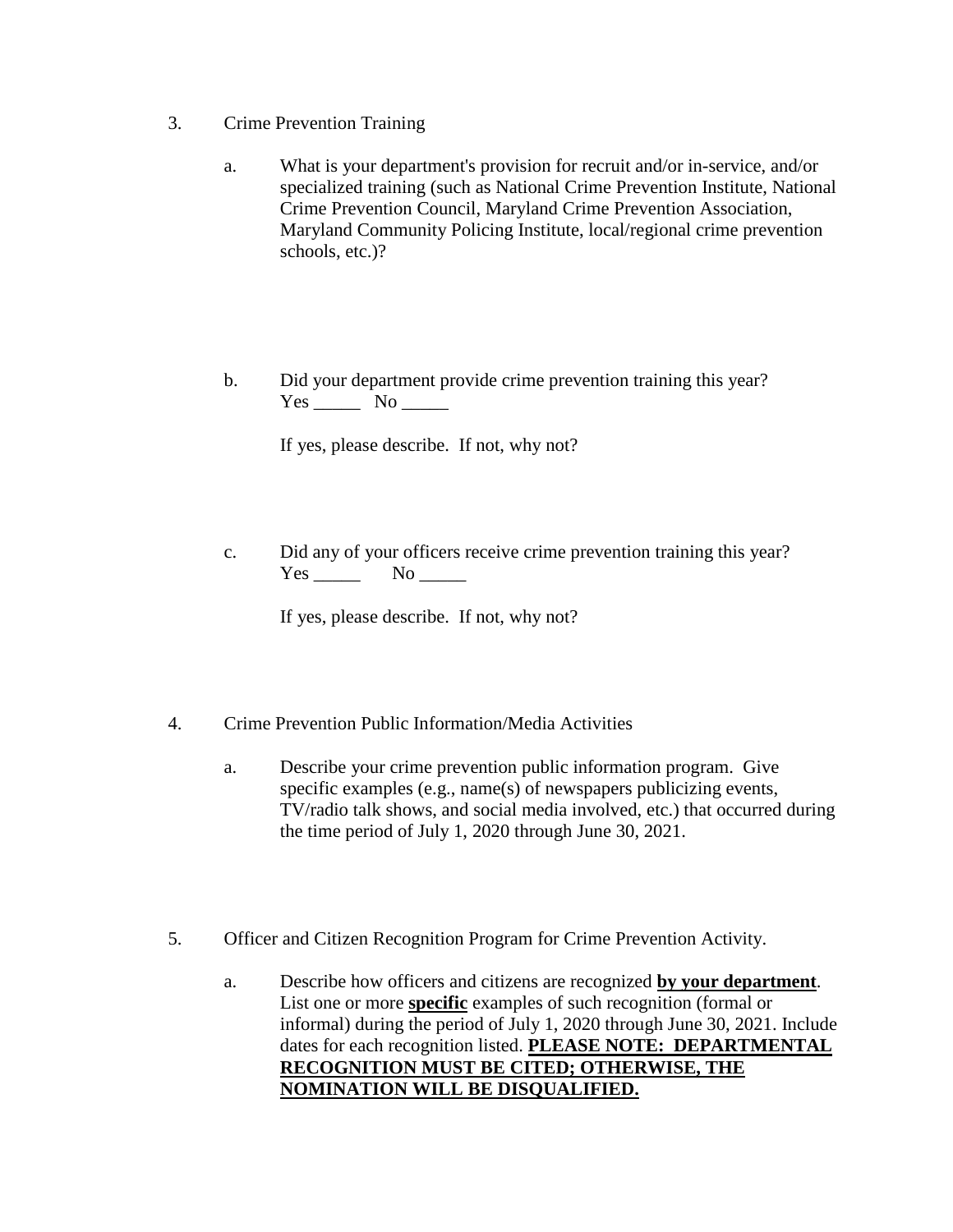- 3. Crime Prevention Training
	- a. What is your department's provision for recruit and/or in-service, and/or specialized training (such as National Crime Prevention Institute, National Crime Prevention Council, Maryland Crime Prevention Association, Maryland Community Policing Institute, local/regional crime prevention schools, etc.)?
	- b. Did your department provide crime prevention training this year? Yes \_\_\_\_\_ No \_\_\_\_\_

If yes, please describe. If not, why not?

c. Did any of your officers receive crime prevention training this year? Yes No

If yes, please describe. If not, why not?

- 4. Crime Prevention Public Information/Media Activities
	- a. Describe your crime prevention public information program. Give specific examples (e.g., name(s) of newspapers publicizing events, TV/radio talk shows, and social media involved, etc.) that occurred during the time period of July 1, 2020 through June 30, 2021.
- 5. Officer and Citizen Recognition Program for Crime Prevention Activity.
	- a. Describe how officers and citizens are recognized **by your department**. List one or more **specific** examples of such recognition (formal or informal) during the period of July 1, 2020 through June 30, 2021. Include dates for each recognition listed. **PLEASE NOTE: DEPARTMENTAL RECOGNITION MUST BE CITED; OTHERWISE, THE NOMINATION WILL BE DISQUALIFIED.**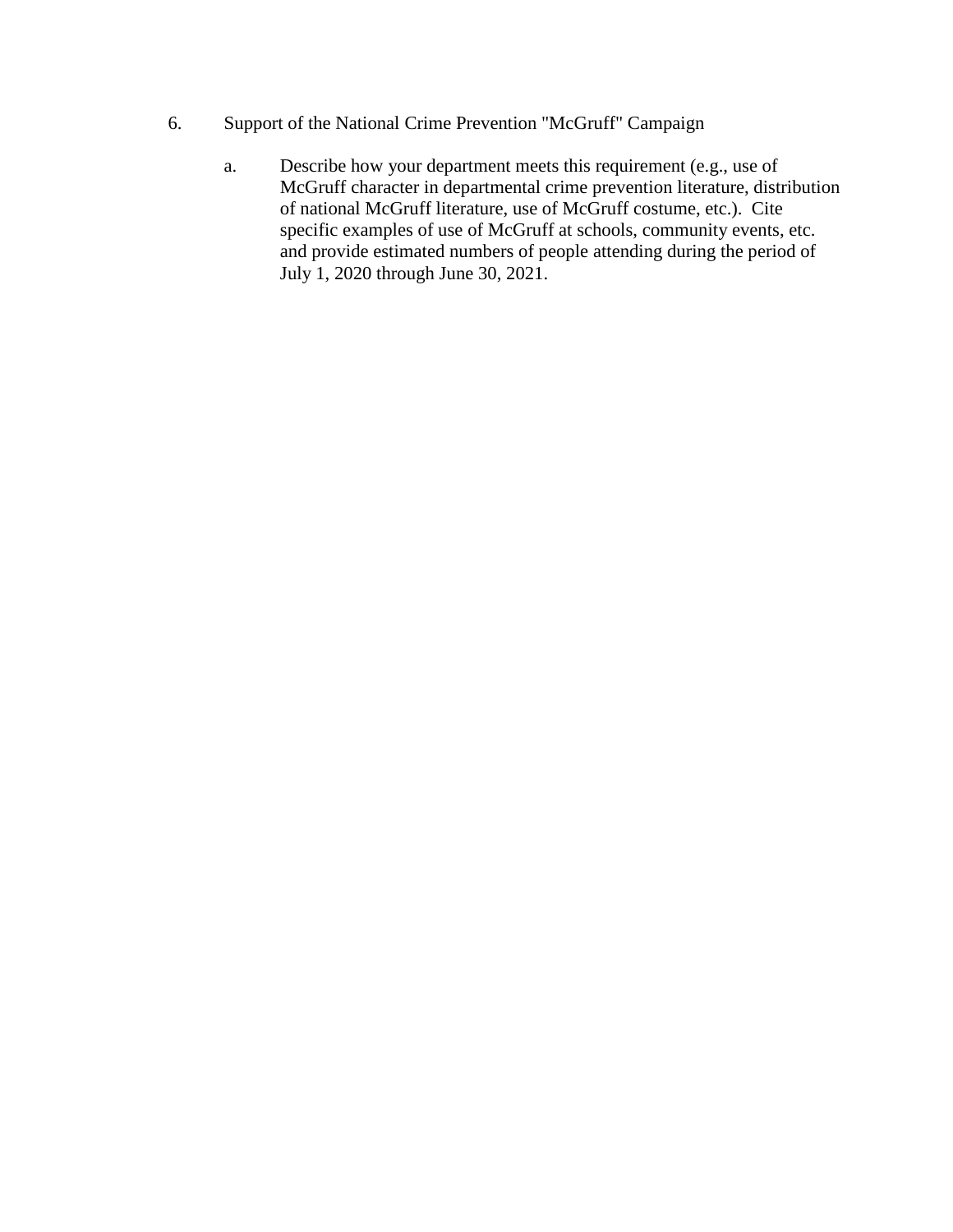- 6. Support of the National Crime Prevention "McGruff" Campaign
	- a. Describe how your department meets this requirement (e.g., use of McGruff character in departmental crime prevention literature, distribution of national McGruff literature, use of McGruff costume, etc.). Cite specific examples of use of McGruff at schools, community events, etc. and provide estimated numbers of people attending during the period of July 1, 2020 through June 30, 2021.